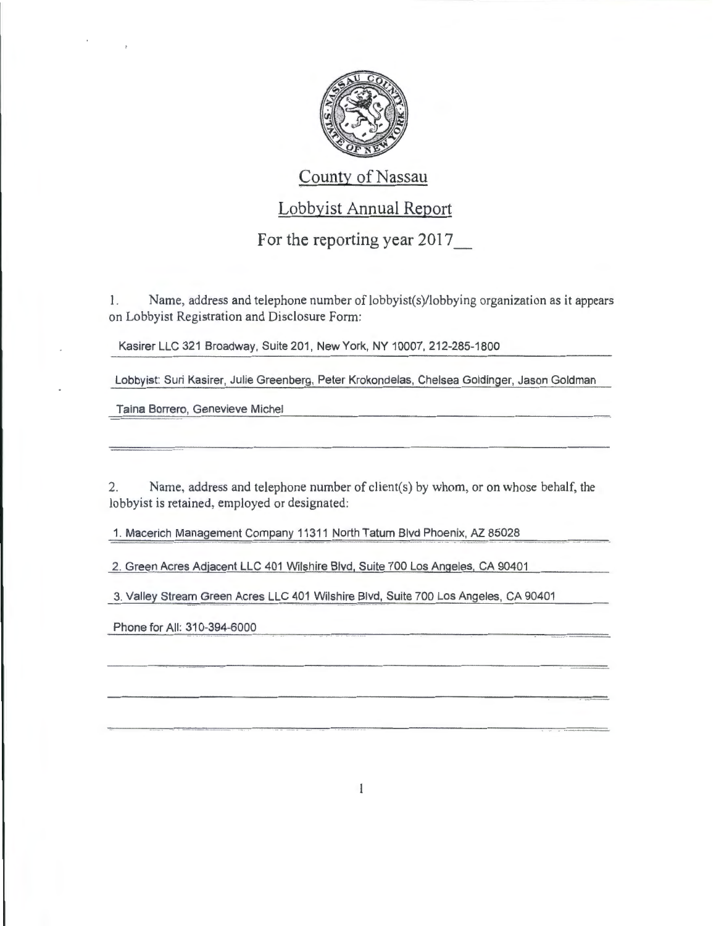

## County of Nassau

## Lobbyist Annual Report

## For the reporting year 2017\_

1. Name, address and telephone number of lobbyist(s)/lobbying organization as it appears on Lobbyist Registration and Disclosure Form:

Kasirer LLC 321 Broadway, Suite 201, New York, NY 10007,212-285-1800

Lobbyist: Suri Kasirer, Julie Greenberg, Peter Krokondelas, Chelsea Goldinger, Jason Goldman

Taina Borrero, Genevieve Michel

2. Name, address and telephone number of client(s) by whom, or on whose behalf, the lobbyist is retained, employed or designated:

1. Macerich Management Company 11311 North Tatum Blvd Phoenix, AZ 85028

2. Green Acres Adjacent LLC 401 Wilshire Blvd, Suite 700 Los Angeles, CA 90401

3. Valley Stream Green Acres LLC 401 Wilshire Blvd, Suite 700 Los Angeles, CA 90401

Phone for All: 310-394-6000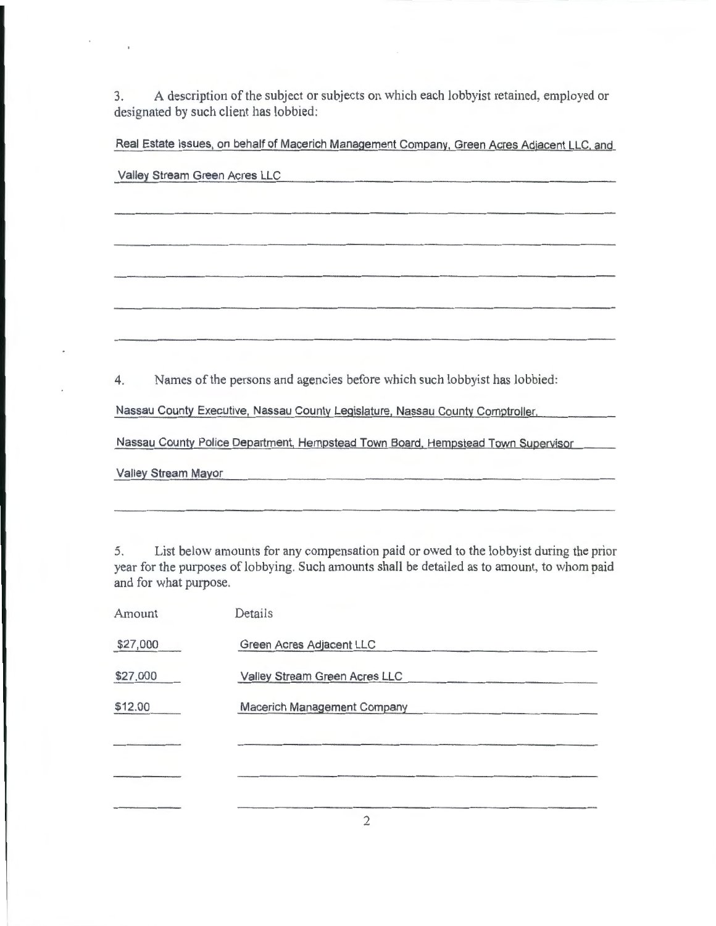3. A description of the subject or subjects on which each lobbyist retained, employed or designated by such client has lobbied:

Real Estate Issues, on behalf of Macerich Management Company, Green Acres Adjacent LLC, and

| Valley Stream Green Acres LLC                                                    |  |  |
|----------------------------------------------------------------------------------|--|--|
|                                                                                  |  |  |
|                                                                                  |  |  |
|                                                                                  |  |  |
|                                                                                  |  |  |
|                                                                                  |  |  |
|                                                                                  |  |  |
|                                                                                  |  |  |
|                                                                                  |  |  |
|                                                                                  |  |  |
|                                                                                  |  |  |
| Names of the persons and agencies before which such lobbyist has lobbied:<br>4.  |  |  |
| Nassau County Executive, Nassau County Legislature, Nassau County Comptroller,   |  |  |
| Nassau County Police Department, Hempstead Town Board, Hempstead Town Supervisor |  |  |
| Valley Stream Mayor                                                              |  |  |

5. List below amounts for any compensation paid or owed to the lobbyist during the prior year for the purposes of lobbying. Such amounts shall be detailed as to amount, to whom paid and for what purpose.

| Amount   | Details                       |
|----------|-------------------------------|
| \$27,000 | Green Acres Adjacent LLC      |
| \$27,000 | Valley Stream Green Acres LLC |
| \$12.00  | Macerich Management Company   |
|          |                               |
|          |                               |
|          |                               |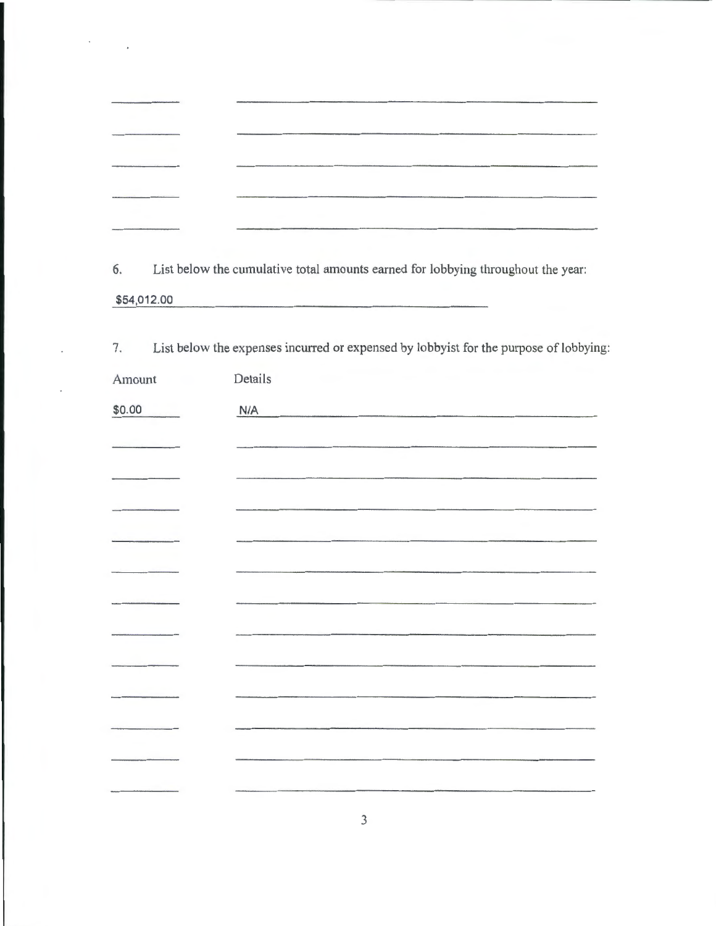|                                                                                           | contract the contract to contract the property of the contract of the contract of the contract of the |
|-------------------------------------------------------------------------------------------|-------------------------------------------------------------------------------------------------------|
|                                                                                           |                                                                                                       |
|                                                                                           |                                                                                                       |
|                                                                                           |                                                                                                       |
|                                                                                           |                                                                                                       |
|                                                                                           |                                                                                                       |
|                                                                                           |                                                                                                       |
|                                                                                           |                                                                                                       |
|                                                                                           |                                                                                                       |
| A statement of the company of the company of the company of the company of the company of | and attack to extra an announced in the contents of                                                   |
|                                                                                           |                                                                                                       |
|                                                                                           |                                                                                                       |

 $\mathcal{F}^{\text{max}}_{\text{max}}$ 

6. List below the cumulative total amounts earned for lobbying throughout the year: \$54,012.00

| 7.<br>List below the expenses incurred or expensed by lobbyist for the purpose of lobbying: |         |  |
|---------------------------------------------------------------------------------------------|---------|--|
| Amount                                                                                      | Details |  |
| \$0.00                                                                                      | N/A     |  |
|                                                                                             |         |  |
|                                                                                             |         |  |
|                                                                                             |         |  |
|                                                                                             |         |  |
|                                                                                             |         |  |
|                                                                                             |         |  |
|                                                                                             |         |  |
|                                                                                             |         |  |
|                                                                                             |         |  |
|                                                                                             |         |  |
|                                                                                             |         |  |
|                                                                                             |         |  |